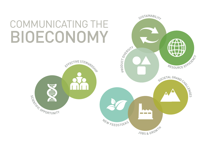



# COMMUNICATING THE BIOECONOMY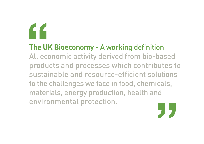# 

The UK Bioeconomy - A working definition All economic activity derived from bio-based products and processes which contributes to sustainable and resource-efficient solutions to the challenges we face in food, chemicals, materials, energy production, health and environmental protection.

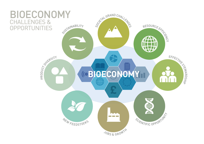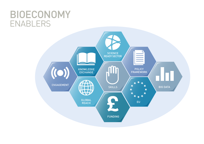# BIG DATA



# BIOECONOMY ENABLERS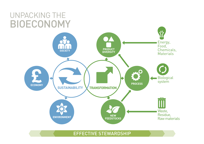







#### EFFECTIVE STEWARDSHIP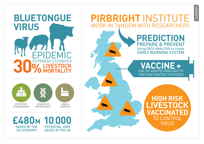

PIRBRIGHT INSTITUTE **WORK IN TANDEM WITH RESEARCHERS**  CURRENT

**PREDICTION PREPARE & PREVENT Using DATA ANALYSIS to create EARLY WARNING SYSTEM** 

VACCINE + USE OF AGRITECHNOLOGY TO TRAP AND MONITOR THE MIDGES

> **HIGH RISK** TO CONTROL **VIRUS**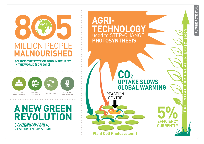

#### **SOURCE: THE STATE OF FOOD INSECURITY** IN THE WORLD (SOFI 2014)



**EFFECTIVE STEWARDSHIP** 

#### **EFFICIENCY**

**SCIENTIFIC OPPORTUNITY** 

## **ANEW GREEN** REVOLUTION

• INCREASED CROP YIELD • GREATER FOOD SECURITY • A SECURE ENERGY SOURCE

### AGRI-TECHNOLOGY used to STEP-CHANGE **PHOTOSYNTHESIS**

**REACTION CENTRE** 

 $CO<sub>2</sub>$ 

**Plant Cell Photosystem 1** 

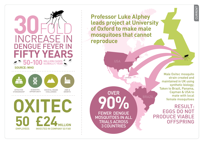

**Professor Luke Alphey** leads project at University of Oxford to make male mosquitoes that cannot reproduce

**USA** 

**CAYMAN** 

**BRAZI** 

PNO **FEWER DENGUE MOSQUITOES IN ALL TRIALS ACROSS 3 COUNTRIES** 

**OVER** 

CURRENT

**Male Oxitec mosquito** strain created and maintained in UK using synthetic biology; Taken to Brazil, Panama, **Cayman & USA to** mate with local female mosquitoes

**RESULT: EGGS DO NOT PRODUCE VIABLE OFFSPRING**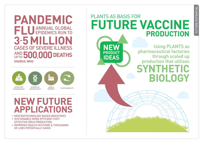### PANDEMIC FLU ANNUAL GLOBAL  $3-5$  MI **CASES OF SEVERE ILLNESS** AND 500,000 DEATHS **SOURCE: WHO**



## **NEW FUTURE APPLICATIONS**

- NEW BIOTECHNOLOGY BASED INDUSTRIES
- SUSTAINABLE MORE EFFICIENT COST **EFFECTIVE DRUG PRODUCTION**
- IMPROVED HEALTH OUTCOME & THOUSANDS OF LIVES POTENTIALLY SAVED



# **PRODUCTION**

FUTURE POTENTI/

**Using PLANTS as** pharmaceutical factories through scaled up production that utilises **HETIC** BIOLOGY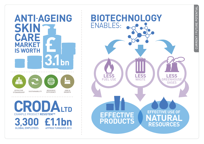#### **ANTI-AGEING** SKIN CARE **MARKET IS WORTH** H ضغف n nin a **EFFECTIVE RESOURCE JOBS & SUSTAINABILITY** EFFICIENCY **STEWARDSHIP GROWTH**



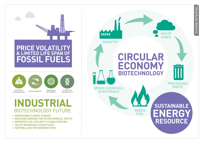

#### **PRICE VOLATILITY & LIMITED LIFE SPAN OF** FOSSIL FUELS



### INDUSTRIAL **BIOTECHNOLOGY FUTURE**

- ADDRESSING CLIMATE CHANGE
- REDUCING DEMAND FOR PETROCHEMICAL INPUTS
- IMPROVED FUEL SECURITY & STABLE PRICING
- USE OF RENEWABLE FEEDSTOCKS
- KEEPING LAND FOR GROWING FOOD

**INDUSTRY** CIRCULAR ECONOMY **BIOTECHNOLOGY** 

> **GREEN FUFI**

**GREEN CHEMICALS & MATERIALS** 

22222



# **SUSTAINABLE RESOURCE**